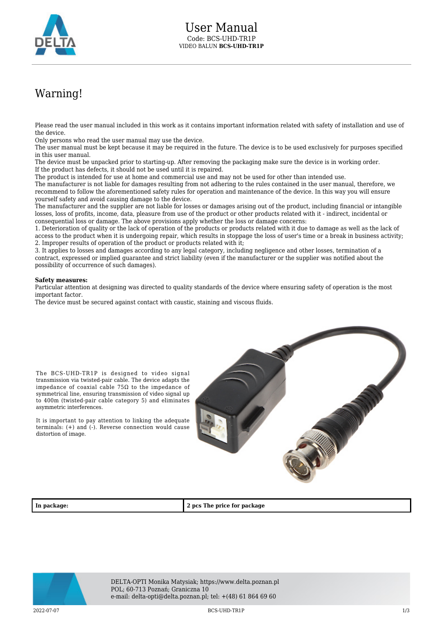

## Warning!

Please read the user manual included in this work as it contains important information related with safety of installation and use of the device.

Only persons who read the user manual may use the device.

The user manual must be kept because it may be required in the future. The device is to be used exclusively for purposes specified in this user manual.

The device must be unpacked prior to starting-up. After removing the packaging make sure the device is in working order. If the product has defects, it should not be used until it is repaired.

The product is intended for use at home and commercial use and may not be used for other than intended use.

The manufacturer is not liable for damages resulting from not adhering to the rules contained in the user manual, therefore, we recommend to follow the aforementioned safety rules for operation and maintenance of the device. In this way you will ensure yourself safety and avoid causing damage to the device.

The manufacturer and the supplier are not liable for losses or damages arising out of the product, including financial or intangible losses, loss of profits, income, data, pleasure from use of the product or other products related with it - indirect, incidental or consequential loss or damage. The above provisions apply whether the loss or damage concerns:

1. Deterioration of quality or the lack of operation of the products or products related with it due to damage as well as the lack of access to the product when it is undergoing repair, which results in stoppage the loss of user's time or a break in business activity; 2. Improper results of operation of the product or products related with it;

3. It applies to losses and damages according to any legal category, including negligence and other losses, termination of a contract, expressed or implied guarantee and strict liability (even if the manufacturer or the supplier was notified about the possibility of occurrence of such damages).

## **Safety measures:**

asymmetric interferences.

distortion of image.

Particular attention at designing was directed to quality standards of the device where ensuring safety of operation is the most important factor.

The device must be secured against contact with caustic, staining and viscous fluids.



**In package: 2 pcs The price for package**



DELTA-OPTI Monika Matysiak; https://www.delta.poznan.pl POL; 60-713 Poznań; Graniczna 10 e-mail: delta-opti@delta.poznan.pl; tel: +(48) 61 864 69 60

2022-07-07 BCS-UHD-TR1P 1/3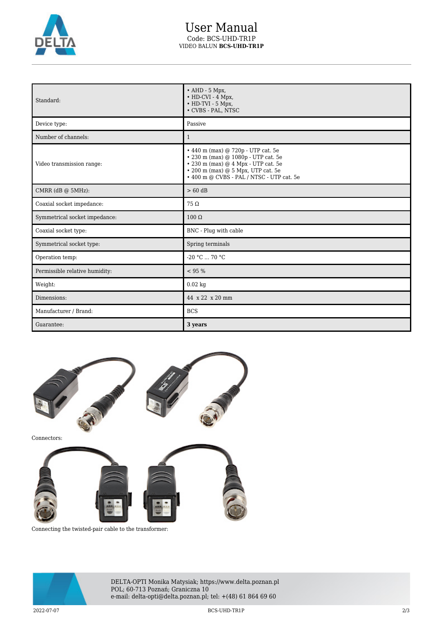

## User Manual Code: BCS-UHD-TR1P VIDEO BALUN **BCS-UHD-TR1P**

| Standard:                      | $\bullet$ AHD - 5 Mpx,<br>$\cdot$ HD-CVI - 4 Mpx,<br>$\bullet$ HD-TVI - 5 Mpx,<br>• CVBS - PAL, NTSC                                                                                                                           |
|--------------------------------|--------------------------------------------------------------------------------------------------------------------------------------------------------------------------------------------------------------------------------|
| Device type:                   | Passive                                                                                                                                                                                                                        |
| Number of channels:            | $\mathbf{1}$                                                                                                                                                                                                                   |
| Video transmission range:      | $\cdot$ 440 m (max) @ 720p - UTP cat. 5e<br>$\cdot$ 230 m (max) @ 1080p - UTP cat. 5e<br>$\cdot$ 230 m (max) $@$ 4 Mpx - UTP cat. 5e<br>$\cdot$ 200 m (max) $@5$ Mpx, UTP cat. 5e<br>• 400 m @ CVBS - PAL / NTSC - UTP cat. 5e |
| CMRR $(dB @ 5MHz)$ :           | $> 60$ dB                                                                                                                                                                                                                      |
| Coaxial socket impedance:      | $75\Omega$                                                                                                                                                                                                                     |
| Symmetrical socket impedance:  | $100 \Omega$                                                                                                                                                                                                                   |
| Coaxial socket type:           | BNC - Plug with cable                                                                                                                                                                                                          |
| Symmetrical socket type:       | Spring terminals                                                                                                                                                                                                               |
| Operation temp:                | $-20 °C$ 70 °C                                                                                                                                                                                                                 |
| Permissible relative humidity: | < 95 %                                                                                                                                                                                                                         |
| Weight:                        | $0.02$ kg                                                                                                                                                                                                                      |
| Dimensions:                    | 44 x 22 x 20 mm                                                                                                                                                                                                                |
| Manufacturer / Brand:          | <b>BCS</b>                                                                                                                                                                                                                     |
| Guarantee:                     | 3 years                                                                                                                                                                                                                        |



Connecting the twisted-pair cable to the transformer:



DELTA-OPTI Monika Matysiak; https://www.delta.poznan.pl POL; 60-713 Poznań; Graniczna 10 e-mail: delta-opti@delta.poznan.pl; tel: +(48) 61 864 69 60

2022-07-07 BCS-UHD-TR1P 2/3